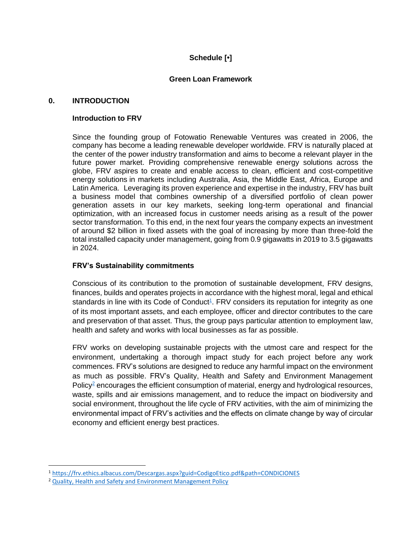# **Schedule [•]**

# **Green Loan Framework**

## **0. INTRODUCTION**

## **Introduction to FRV**

Since the founding group of Fotowatio Renewable Ventures was created in 2006, the company has become a leading renewable developer worldwide. FRV is naturally placed at the center of the power industry transformation and aims to become a relevant player in the future power market. Providing comprehensive renewable energy solutions across the globe, FRV aspires to create and enable access to clean, efficient and cost-competitive energy solutions in markets including Australia, Asia, the Middle East, Africa, Europe and Latin America. Leveraging its proven experience and expertise in the industry, FRV has built a business model that combines ownership of a diversified portfolio of clean power generation assets in our key markets, seeking long-term operational and financial optimization, with an increased focus in customer needs arising as a result of the power sector transformation. To this end, in the next four years the company expects an investment of around \$2 billion in fixed assets with the goal of increasing by more than three-fold the total installed capacity under management, going from 0.9 gigawatts in 2019 to 3.5 gigawatts in 2024.

#### **FRV's Sustainability commitments**

Conscious of its contribution to the promotion of sustainable development, FRV designs, finances, builds and operates projects in accordance with the highest moral, legal and ethical standards in line with its Code of Conduct<sup>1</sup>. FRV considers its reputation for integrity as one of its most important assets, and each employee, officer and director contributes to the care and preservation of that asset. Thus, the group pays particular attention to employment law, health and safety and works with local businesses as far as possible.

FRV works on developing sustainable projects with the utmost care and respect for the environment, undertaking a thorough impact study for each project before any work commences. FRV's solutions are designed to reduce any harmful impact on the environment as much as possible. FRV's Quality, Health and Safety and Environment Management Policy $2$  encourages the efficient consumption of material, energy and hydrological resources, waste, spills and air emissions management, and to reduce the impact on biodiversity and social environment, throughout the life cycle of FRV activities, with the aim of minimizing the environmental impact of FRV's activities and the effects on climate change by way of circular economy and efficient energy best practices.

<sup>1</sup> <https://frv.ethics.albacus.com/Descargas.aspx?guid=CodigoEtico.pdf&path=CONDICIONES>

<sup>&</sup>lt;sup>2</sup> [Quality, Health and Safety and Environment Management Policy](https://frv.com/wp-content/uploads/2020/04/IMM-Annex-03-FRV-QHSE-Policy-Ed02.pdf)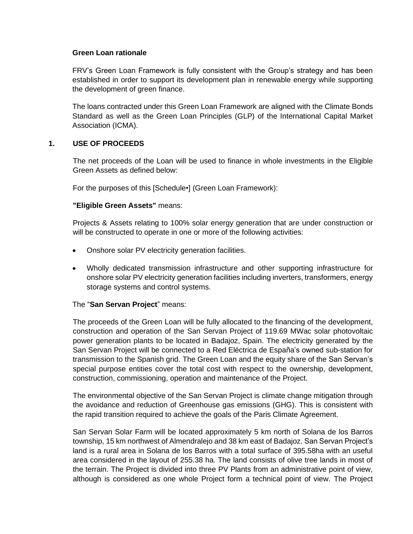#### **Green Loan rationale**

FRV's Green Loan Framework is fully consistent with the Group's strategy and has been established in order to support its development plan in renewable energy while supporting the development of green finance.

The loans contracted under this Green Loan Framework are aligned with the Climate Bonds Standard as well as the Green Loan Principles (GLP) of the International Capital Market Association (ICMA).

# **1. USE OF PROCEEDS**

The net proceeds of the Loan will be used to finance in whole investments in the Eligible Green Assets as defined below:

For the purposes of this [Schedule•] (Green Loan Framework):

## **"Eligible Green Assets"** means:

Projects & Assets relating to 100% solar energy generation that are under construction or will be constructed to operate in one or more of the following activities:

- Onshore solar PV electricity generation facilities.
- Wholly dedicated transmission infrastructure and other supporting infrastructure for onshore solar PV electricity generation facilities including inverters, transformers, energy storage systems and control systems.

# The "**San Servan Project**" means:

The proceeds of the Green Loan will be fully allocated to the financing of the development, construction and operation of the San Servan Project of 119.69 MWac solar photovoltaic power generation plants to be located in Badajoz, Spain. The electricity generated by the San Servan Project will be connected to a Red Eléctrica de España's owned sub-station for transmission to the Spanish grid. The Green Loan and the equity share of the San Servan's special purpose entities cover the total cost with respect to the ownership, development, construction, commissioning, operation and maintenance of the Project.

The environmental objective of the San Servan Project is climate change mitigation through the avoidance and reduction of Greenhouse gas emissions (GHG). This is consistent with the rapid transition required to achieve the goals of the Paris Climate Agreement.

San Servan Solar Farm will be located approximately 5 km north of Solana de los Barros township, 15 km northwest of Almendralejo and 38 km east of Badajoz. San Servan Project's land is a rural area in Solana de los Barros with a total surface of 395.58ha with an useful area considered in the layout of 255.38 ha. The land consists of olive tree lands in most of the terrain. The Project is divided into three PV Plants from an administrative point of view, although is considered as one whole Project form a technical point of view. The Project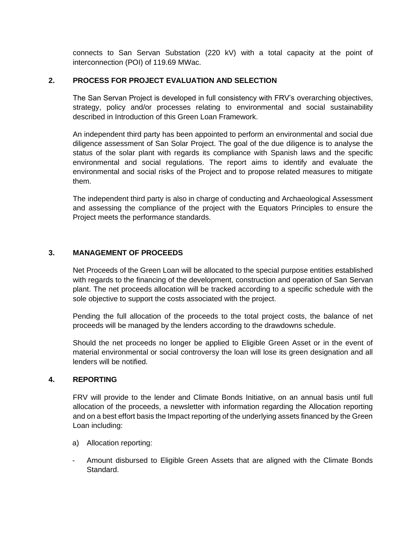connects to San Servan Substation (220 kV) with a total capacity at the point of interconnection (POI) of 119.69 MWac.

## **2. PROCESS FOR PROJECT EVALUATION AND SELECTION**

The San Servan Project is developed in full consistency with FRV's overarching objectives, strategy, policy and/or processes relating to environmental and social sustainability described in Introduction of this Green Loan Framework.

An independent third party has been appointed to perform an environmental and social due diligence assessment of San Solar Project. The goal of the due diligence is to analyse the status of the solar plant with regards its compliance with Spanish laws and the specific environmental and social regulations. The report aims to identify and evaluate the environmental and social risks of the Project and to propose related measures to mitigate them.

The independent third party is also in charge of conducting and Archaeological Assessment and assessing the compliance of the project with the Equators Principles to ensure the Project meets the performance standards.

# **3. MANAGEMENT OF PROCEEDS**

Net Proceeds of the Green Loan will be allocated to the special purpose entities established with regards to the financing of the development, construction and operation of San Servan plant. The net proceeds allocation will be tracked according to a specific schedule with the sole objective to support the costs associated with the project.

Pending the full allocation of the proceeds to the total project costs, the balance of net proceeds will be managed by the lenders according to the drawdowns schedule.

Should the net proceeds no longer be applied to Eligible Green Asset or in the event of material environmental or social controversy the loan will lose its green designation and all lenders will be notified.

#### **4. REPORTING**

FRV will provide to the lender and Climate Bonds Initiative, on an annual basis until full allocation of the proceeds, a newsletter with information regarding the Allocation reporting and on a best effort basis the Impact reporting of the underlying assets financed by the Green Loan including:

- a) Allocation reporting:
- Amount disbursed to Eligible Green Assets that are aligned with the Climate Bonds Standard.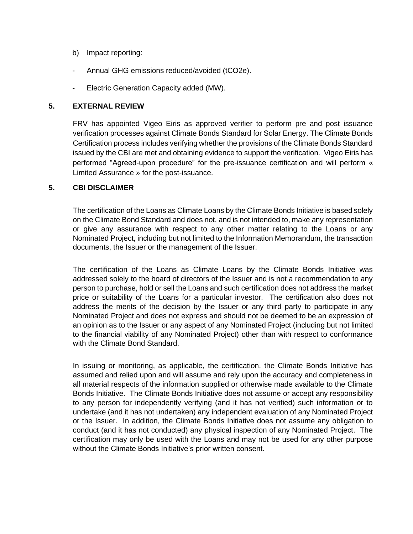- b) Impact reporting:
- Annual GHG emissions reduced/avoided (tCO2e).
- Electric Generation Capacity added (MW).

#### **5. EXTERNAL REVIEW**

FRV has appointed Vigeo Eiris as approved verifier to perform pre and post issuance verification processes against Climate Bonds Standard for Solar Energy. The Climate Bonds Certification process includes verifying whether the provisions of the Climate Bonds Standard issued by the CBI are met and obtaining evidence to support the verification. Vigeo Eiris has performed "Agreed-upon procedure" for the pre-issuance certification and will perform « Limited Assurance » for the post-issuance.

## **5. CBI DISCLAIMER**

The certification of the Loans as Climate Loans by the Climate Bonds Initiative is based solely on the Climate Bond Standard and does not, and is not intended to, make any representation or give any assurance with respect to any other matter relating to the Loans or any Nominated Project, including but not limited to the Information Memorandum, the transaction documents, the Issuer or the management of the Issuer.

The certification of the Loans as Climate Loans by the Climate Bonds Initiative was addressed solely to the board of directors of the Issuer and is not a recommendation to any person to purchase, hold or sell the Loans and such certification does not address the market price or suitability of the Loans for a particular investor. The certification also does not address the merits of the decision by the Issuer or any third party to participate in any Nominated Project and does not express and should not be deemed to be an expression of an opinion as to the Issuer or any aspect of any Nominated Project (including but not limited to the financial viability of any Nominated Project) other than with respect to conformance with the Climate Bond Standard.

In issuing or monitoring, as applicable, the certification, the Climate Bonds Initiative has assumed and relied upon and will assume and rely upon the accuracy and completeness in all material respects of the information supplied or otherwise made available to the Climate Bonds Initiative. The Climate Bonds Initiative does not assume or accept any responsibility to any person for independently verifying (and it has not verified) such information or to undertake (and it has not undertaken) any independent evaluation of any Nominated Project or the Issuer. In addition, the Climate Bonds Initiative does not assume any obligation to conduct (and it has not conducted) any physical inspection of any Nominated Project. The certification may only be used with the Loans and may not be used for any other purpose without the Climate Bonds Initiative's prior written consent.